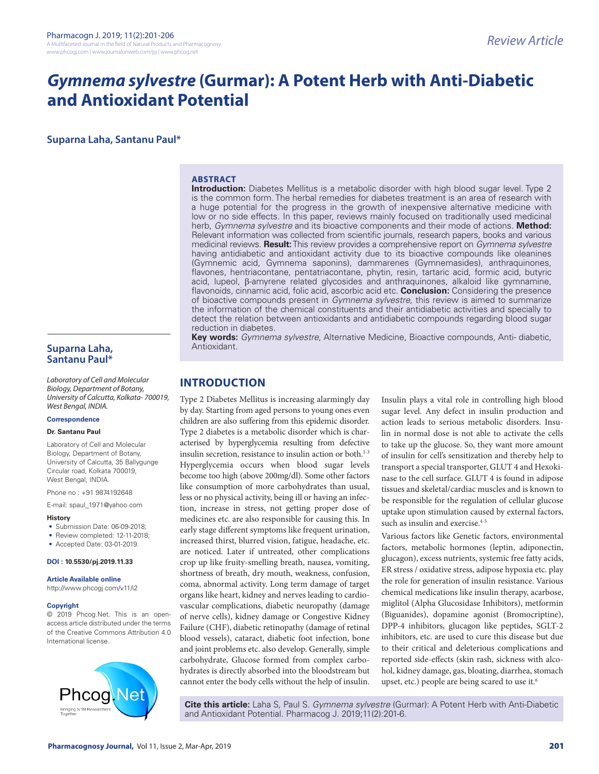# *Gymnema sylvestre* **(Gurmar): A Potent Herb with Anti-Diabetic and Antioxidant Potential**

**Suparna Laha, Santanu Paul\***

#### **ABSTRACT**

**Introduction:** Diabetes Mellitus is a metabolic disorder with high blood sugar level. Type 2 is the common form. The herbal remedies for diabetes treatment is an area of research with a huge potential for the progress in the growth of inexpensive alternative medicine with low or no side effects. In this paper, reviews mainly focused on traditionally used medicinal herb, *Gymnema sylvestre* and its bioactive components and their mode of actions. **Method:** Relevant information was collected from scientific journals, research papers, books and various medicinal reviews. **Result:** This review provides a comprehensive report on *Gymnema sylvestre*  having antidiabetic and antioxidant activity due to its bioactive compounds like oleanines (Gymnemic acid, Gymnema saponins), dammarenes (Gymnemasides), anthraquinones, flavones, hentriacontane, pentatriacontane, phytin, resin, tartaric acid, formic acid, butyric acid, lupeol, β-amyrene related glycosides and anthraquinones, alkaloid like gymnamine, flavonoids, cinnamic acid, folic acid, ascorbic acid etc. **Conclusion:** Considering the presence of bioactive compounds present in *Gymnema sylvestre*, this review is aimed to summarize the information of the chemical constituents and their antidiabetic activities and specially to detect the relation between antioxidants and antidiabetic compounds regarding blood sugar reduction in diabetes.

**Key words:** *Gymnema sylvestre*, Alternative Medicine, Bioactive compounds, Anti- diabetic, Antioxidant.

# **INTRODUCTION**

Type 2 Diabetes Mellitus is increasing alarmingly day by day. Starting from aged persons to young ones even children are also suffering from this epidemic disorder. Type 2 diabetes is a metabolic disorder which is characterised by hyperglycemia resulting from defective insulin secretion, resistance to insulin action or both.<sup>1-3</sup> Hyperglycemia occurs when blood sugar levels become too high (above 200mg/dl). Some other factors like consumption of more carbohydrates than usual, less or no physical activity, being ill or having an infection, increase in stress, not getting proper dose of medicines etc. are also responsible for causing this. In early stage different symptoms like frequent urination, increased thirst, blurred vision, fatigue, headache, etc. are noticed. Later if untreated, other complications crop up like fruity-smelling breath, nausea, vomiting, shortness of breath, dry mouth, weakness, confusion, coma, abnormal activity. Long term damage of target organs like heart, kidney and nerves leading to cardiovascular complications, diabetic neuropathy (damage of nerve cells), kidney damage or Congestive Kidney Failure (CHF), diabetic retinopathy (damage of retinal blood vessels), cataract, diabetic foot infection, bone and joint problems etc. also develop. Generally, simple carbohydrate, Glucose formed from complex carbohydrates is directly absorbed into the bloodstream but cannot enter the body cells without the help of insulin.

Insulin plays a vital role in controlling high blood sugar level. Any defect in insulin production and action leads to serious metabolic disorders. Insulin in normal dose is not able to activate the cells to take up the glucose. So, they want more amount of insulin for cell's sensitization and thereby help to transport a special transporter, GLUT 4 and Hexokinase to the cell surface. GLUT 4 is found in adipose tissues and skeletal/cardiac muscles and is known to be responsible for the regulation of cellular glucose uptake upon stimulation caused by external factors, such as insulin and exercise.<sup>4-5</sup>

Various factors like Genetic factors, environmental factors, metabolic hormones (leptin, adiponectin, glucagon), excess nutrients, systemic free fatty acids, ER stress / oxidative stress, adipose hypoxia etc. play the role for generation of insulin resistance. Various chemical medications like insulin therapy, acarbose, miglitol (Alpha Glucosidase Inhibitors), metformin (Biguanides), dopamine agonist (Bromocriptine), DPP-4 inhibitors, glucagon like peptides, SGLT-2 inhibitors, etc. are used to cure this disease but due to their critical and deleterious complications and reported side-effects (skin rash, sickness with alcohol, kidney damage, gas, bloating, diarrhea, stomach upset, etc.) people are being scared to use it.<sup>6</sup>

**Cite this article:** Laha S, Paul S. *Gymnema sylvestre* (Gurmar): A Potent Herb with Anti-Diabetic and Antioxidant Potential. Pharmacog J. 2019;11(2):201-6.

## **Suparna Laha, Santanu Paul\***

*Laboratory of Cell and Molecular Biology, Department of Botany, University of Calcutta, Kolkata- 700019, West Bengal, INDIA.*

#### **Correspondence**

#### **Dr. Santanu Paul**

Laboratory of Cell and Molecular Biology, Department of Botany, University of Calcutta, 35 Ballygunge Circular road, Kolkata 700019, West Bengal, INDIA.

Phone no : +91 9874192648

E-mail: spaul\_1971@yahoo.com

#### **History**

- Submission Date: 06-09-2018;
- Review completed: 12-11-2018;
- Accepted Date: 03-01-2019.

#### **DOI : 10.5530/pj.2019.11.33**

**Article Available online** 

http://www.phcogj.com/v11/i2

#### **Copyright**

© 2019 Phcog.Net. This is an openaccess article distributed under the terms of the Creative Commons Attribution 4.0 International license.

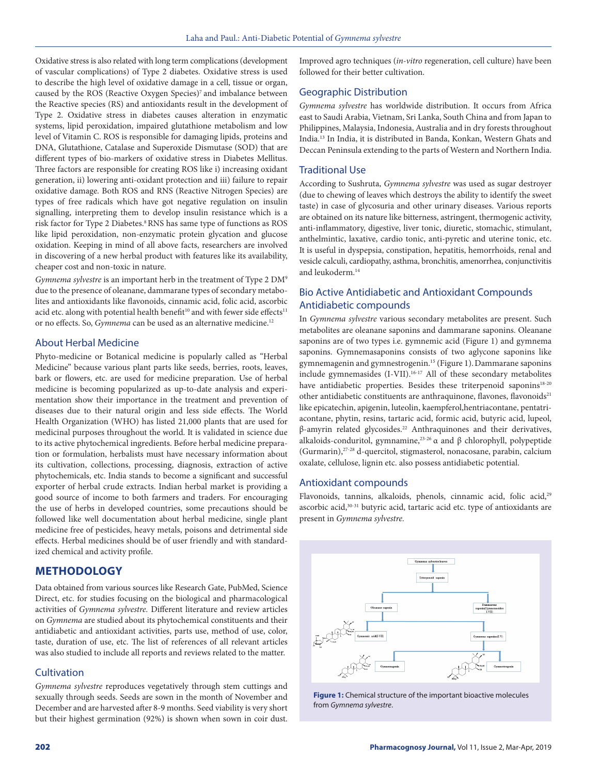Oxidative stress is also related with long term complications (development of vascular complications) of Type 2 diabetes. Oxidative stress is used to describe the high level of oxidative damage in a cell, tissue or organ, caused by the ROS (Reactive Oxygen Species)7 and imbalance between the Reactive species (RS) and antioxidants result in the development of Type 2. Oxidative stress in diabetes causes alteration in enzymatic systems, lipid peroxidation, impaired glutathione metabolism and low level of Vitamin C. ROS is responsible for damaging lipids, proteins and DNA, Glutathione, Catalase and Superoxide Dismutase (SOD) that are different types of bio-markers of oxidative stress in Diabetes Mellitus. Three factors are responsible for creating ROS like i) increasing oxidant generation, ii) lowering anti-oxidant protection and iii) failure to repair oxidative damage. Both ROS and RNS (Reactive Nitrogen Species) are types of free radicals which have got negative regulation on insulin signalling, interpreting them to develop insulin resistance which is a risk factor for Type 2 Diabetes.<sup>8</sup> RNS has same type of functions as ROS like lipid peroxidation, non-enzymatic protein glycation and glucose oxidation. Keeping in mind of all above facts, researchers are involved in discovering of a new herbal product with features like its availability, cheaper cost and non-toxic in nature.

*Gymnema sylvestre* is an important herb in the treatment of Type 2 DM9 due to the presence of oleanane, dammarane types of secondary metabolites and antioxidants like flavonoids, cinnamic acid, folic acid, ascorbic acid etc. along with potential health benefit<sup>10</sup> and with fewer side effects<sup>11</sup> or no effects. So, *Gymnema* can be used as an alternative medicine.12

### About Herbal Medicine

Phyto-medicine or Botanical medicine is popularly called as "Herbal Medicine" because various plant parts like seeds, berries, roots, leaves, bark or flowers, etc. are used for medicine preparation. Use of herbal medicine is becoming popularized as up-to-date analysis and experimentation show their importance in the treatment and prevention of diseases due to their natural origin and less side effects. The World Health Organization (WHO) has listed 21,000 plants that are used for medicinal purposes throughout the world. It is validated in science due to its active phytochemical ingredients. Before herbal medicine preparation or formulation, herbalists must have necessary information about its cultivation, collections, processing, diagnosis, extraction of active phytochemicals, etc. India stands to become a significant and successful exporter of herbal crude extracts. Indian herbal market is providing a good source of income to both farmers and traders. For encouraging the use of herbs in developed countries, some precautions should be followed like well documentation about herbal medicine, single plant medicine free of pesticides, heavy metals, poisons and detrimental side effects. Herbal medicines should be of user friendly and with standardized chemical and activity profile.

# **METHODOLOGY**

Data obtained from various sources like Research Gate, PubMed, Science Direct, etc. for studies focusing on the biological and pharmacological activities of *Gymnema sylvestre.* Different literature and review articles on *Gymnema* are studied about its phytochemical constituents and their antidiabetic and antioxidant activities, parts use, method of use, color, taste, duration of use, etc. The list of references of all relevant articles was also studied to include all reports and reviews related to the matter.

### **Cultivation**

*Gymnema sylvestre* reproduces vegetatively through stem cuttings and sexually through seeds. Seeds are sown in the month of November and December and are harvested after 8-9 months. Seed viability is very short but their highest germination (92%) is shown when sown in coir dust.

Improved agro techniques (*in-vitro* regeneration, cell culture) have been followed for their better cultivation.

#### Geographic Distribution

*Gymnema sylvestre* has worldwide distribution. It occurs from Africa east to Saudi Arabia, Vietnam, Sri Lanka, South China and from Japan to Philippines, Malaysia, Indonesia, Australia and in dry forests throughout India.13 In India, it is distributed in Banda, Konkan, Western Ghats and Deccan Peninsula extending to the parts of Western and Northern India.

### Traditional Use

According to Sushruta, *Gymnema sylvestre* was used as sugar destroyer (due to chewing of leaves which destroys the ability to identify the sweet taste) in case of glycosuria and other urinary diseases. Various reports are obtained on its nature like bitterness, astringent, thermogenic activity, anti-inflammatory, digestive, liver tonic, diuretic, stomachic, stimulant, anthelmintic, laxative, cardio tonic, anti-pyretic and uterine tonic, etc. It is useful in dyspepsia, constipation, hepatitis, hemorrhoids, renal and vesicle calculi, cardiopathy, asthma, bronchitis, amenorrhea, conjunctivitis and leukoderm.14

# Bio Active Antidiabetic and Antioxidant Compounds Antidiabetic compounds

In *Gymnema sylvestre* various secondary metabolites are present. Such metabolites are oleanane saponins and dammarane saponins. Oleanane saponins are of two types i.e. gymnemic acid (Figure 1) and gymnema saponins. Gymnemasaponins consists of two aglycone saponins like gymnemagenin and gymnestrogenin.15 (Figure 1).Dammarane saponins include gymnemasides (I-VII).16-17 All of these secondary metabolites have antidiabetic properties. Besides these triterpenoid saponins<sup>18-20</sup> other antidiabetic constituents are anthraquinone, flavones, flavonoids<sup>21</sup> like epicatechin, apigenin, luteolin, kaempferol,hentriacontane, pentatriacontane, phytin, resins, tartaric acid, formic acid, butyric acid, lupeol, β-amyrin related glycosides.22 Anthraquinones and their derivatives, alkaloids-conduritol, gymnamine,<sup>23-26</sup> α and β chlorophyll, polypeptide (Gurmarin),27-28 d-quercitol, stigmasterol, nonacosane, parabin, calcium oxalate, cellulose, lignin etc. also possess antidiabetic potential.

#### Antioxidant compounds

Flavonoids, tannins, alkaloids, phenols, cinnamic acid, folic acid,<sup>29</sup> ascorbic acid,<sup>30-31</sup> butyric acid, tartaric acid etc. type of antioxidants are present in *Gymnema sylvestre.*



**Figure 1:** Chemical structure of the important bioactive molecules from *Gymnema sylvestre*.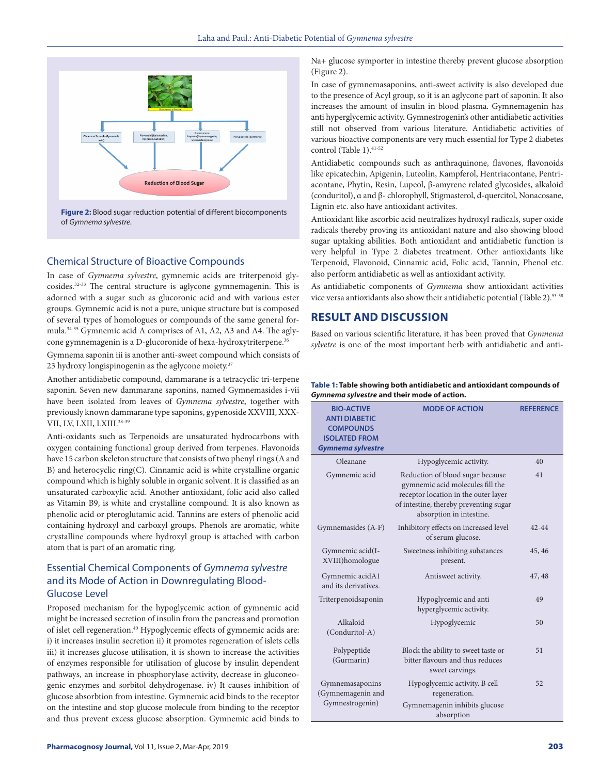

of *Gymnema sylvestre*.

# Chemical Structure of Bioactive Compounds

In case of *Gymnema sylvestre*, gymnemic acids are triterpenoid glycosides.32-33 The central structure is aglycone gymnemagenin. This is adorned with a sugar such as glucoronic acid and with various ester groups. Gymnemic acid is not a pure, unique structure but is composed of several types of homologues or compounds of the same general formula.34-35 Gymnemic acid A comprises of A1, A2, A3 and A4. The aglycone gymnemagenin is a D-glucoronide of hexa-hydroxytriterpene.<sup>36</sup>

Gymnema saponin iii is another anti-sweet compound which consists of 23 hydroxy longispinogenin as the aglycone moiety.<sup>37</sup>

Another antidiabetic compound, dammarane is a tetracyclic tri-terpene saponin. Seven new dammarane saponins, named Gymnemasides i-vii have been isolated from leaves of *Gymnema sylvestre*, together with previously known dammarane type saponins, gypenoside XXVIII, XXX-VII, LV, LXII, LXIII.<sup>38-39</sup>

Anti-oxidants such as Terpenoids are unsaturated hydrocarbons with oxygen containing functional group derived from terpenes. Flavonoids have 15 carbon skeleton structure that consists of two phenyl rings (A and B) and heterocyclic ring(C). Cinnamic acid is white crystalline organic compound which is highly soluble in organic solvent. It is classified as an unsaturated carboxylic acid. Another antioxidant, folic acid also called as Vitamin B9, is white and crystalline compound. It is also known as phenolic acid or pteroglutamic acid. Tannins are esters of phenolic acid containing hydroxyl and carboxyl groups. Phenols are aromatic, white crystalline compounds where hydroxyl group is attached with carbon atom that is part of an aromatic ring.

# Essential Chemical Components of *Gymnema sylvestre* and its Mode of Action in Downregulating Blood-Glucose Level

Proposed mechanism for the hypoglycemic action of gymnemic acid might be increased secretion of insulin from the pancreas and promotion of islet cell regeneration.40 Hypoglycemic effects of gymnemic acids are: i) it increases insulin secretion ii) it promotes regeneration of islets cells iii) it increases glucose utilisation, it is shown to increase the activities of enzymes responsible for utilisation of glucose by insulin dependent pathways, an increase in phosphorylase activity, decrease in gluconeogenic enzymes and sorbitol dehydrogenase. iv) It causes inhibition of glucose absorbtion from intestine. Gymnemic acid binds to the receptor on the intestine and stop glucose molecule from binding to the receptor and thus prevent excess glucose absorption. Gymnemic acid binds to

Na+ glucose symporter in intestine thereby prevent glucose absorption (Figure 2).

In case of gymnemasaponins, anti-sweet activity is also developed due to the presence of Acyl group, so it is an aglycone part of saponin. It also increases the amount of insulin in blood plasma. Gymnemagenin has anti hyperglycemic activity. Gymnestrogenin's other antidiabetic activities still not observed from various literature. Antidiabetic activities of various bioactive components are very much essential for Type 2 diabetes control (Table 1).<sup>41-52</sup>

Antidiabetic compounds such as anthraquinone, flavones, flavonoids like epicatechin, Apigenin, Luteolin, Kampferol, Hentriacontane, Pentriacontane, Phytin, Resin, Lupeol, β-amyrene related glycosides, alkaloid (conduritol), α and β- chlorophyll, Stigmasterol, d-quercitol, Nonacosane, Lignin etc. also have antioxidant activites.

Antioxidant like ascorbic acid neutralizes hydroxyl radicals, super oxide radicals thereby proving its antioxidant nature and also showing blood sugar uptaking abilities. Both antioxidant and antidiabetic function is very helpful in Type 2 diabetes treatment. Other antioxidants like Terpenoid, Flavonoid, Cinnamic acid, Folic acid, Tannin, Phenol etc. also perform antidiabetic as well as antioxidant activity.

As antidiabetic components of *Gymnema* show antioxidant activities vice versa antioxidants also show their antidiabetic potential (Table 2).53-58

# **RESULT AND DISCUSSION**

Based on various scientific literature*,* it has been proved that *Gymnema sylvetre* is one of the most important herb with antidiabetic and anti-

#### **Table 1: Table showing both antidiabetic and antioxidant compounds of**  *Gymnema sylvestre* **and their mode of action.**

| <b>BIO-ACTIVE</b><br><b>ANTI DIABETIC</b><br><b>COMPOUNDS</b><br><b>ISOLATED FROM</b><br>Gymnema sylvestre | <b>MODE OF ACTION</b>                                                                                                                                                              | <b>REFERENCE</b> |
|------------------------------------------------------------------------------------------------------------|------------------------------------------------------------------------------------------------------------------------------------------------------------------------------------|------------------|
| Oleanane                                                                                                   | Hypoglycemic activity.                                                                                                                                                             | 40               |
| Gymnemic acid                                                                                              | Reduction of blood sugar because<br>gymnemic acid molecules fill the<br>receptor location in the outer layer<br>of intestine, thereby preventing sugar<br>absorption in intestine. | 41               |
| Gymnemasides (A-F)                                                                                         | Inhibitory effects on increased level<br>of serum glucose.                                                                                                                         | $42 - 44$        |
| Gymnemic acid(I-<br>XVIII)homologue                                                                        | Sweetness inhibiting substances<br>present.                                                                                                                                        | 45, 46           |
| Gymnemic acidA1<br>and its derivatives.                                                                    | Antisweet activity.                                                                                                                                                                | 47, 48           |
| Triterpenoidsaponin                                                                                        | Hypoglycemic and anti<br>hyperglycemic activity.                                                                                                                                   | 49               |
| Alkaloid<br>(Conduritol-A)                                                                                 | Hypoglycemic                                                                                                                                                                       | 50               |
| Polypeptide<br>(Gurmarin)                                                                                  | Block the ability to sweet taste or<br>bitter flavours and thus reduces<br>sweet carvings.                                                                                         | 51               |
| Gymnemasaponins<br>(Gymnemagenin and<br>Gymnestrogenin)                                                    | Hypoglycemic activity. B cell<br>regeneration.<br>Gymnemagenin inhibits glucose<br>absorption                                                                                      | 52               |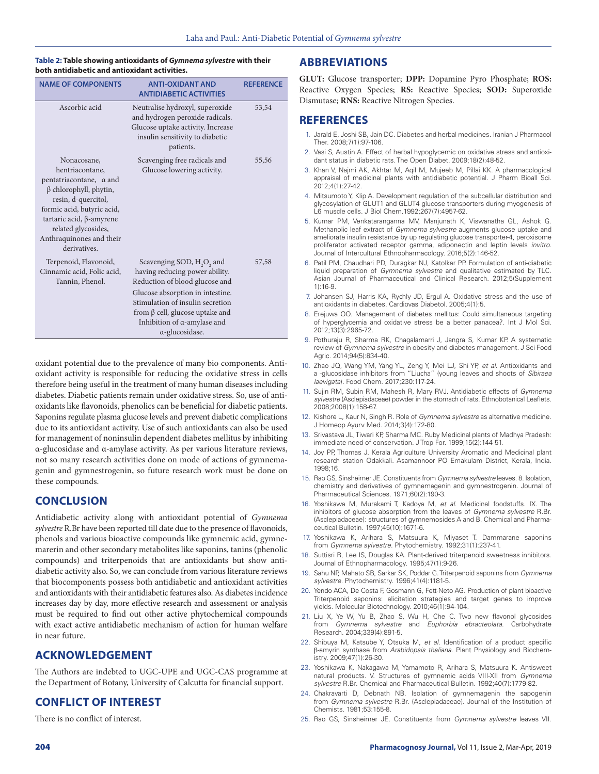#### **Table 2: Table showing antioxidants of** *Gymnema sylvestre* **with their both antidiabetic and antioxidant activities.**

| <b>NAME OF COMPONENTS</b>                                                                                                                                                                                                                            | <b>ANTI-OXIDANT AND</b><br><b>ANTIDIARETIC ACTIVITIES</b>                                                                                                                                                                                                                               | <b>REFERENCE</b> |
|------------------------------------------------------------------------------------------------------------------------------------------------------------------------------------------------------------------------------------------------------|-----------------------------------------------------------------------------------------------------------------------------------------------------------------------------------------------------------------------------------------------------------------------------------------|------------------|
| Ascorbic acid                                                                                                                                                                                                                                        | Neutralise hydroxyl, superoxide<br>and hydrogen peroxide radicals.<br>Glucose uptake activity. Increase<br>insulin sensitivity to diabetic<br>patients.                                                                                                                                 | 53,54            |
| Nonacosane,<br>hentriacontane,<br>pentatriacontane, a and<br>$\beta$ chlorophyll, phytin,<br>resin, d-quercitol,<br>formic acid, butyric acid,<br>tartaric acid, $\beta$ -amyrene<br>related glycosides,<br>Anthraquinones and their<br>derivatives. | Scavenging free radicals and<br>Glucose lowering activity.                                                                                                                                                                                                                              | 55,56            |
| Terpenoid, Flavonoid,<br>Cinnamic acid, Folic acid,<br>Tannin, Phenol.                                                                                                                                                                               | Scavenging SOD, H <sub>2</sub> O <sub>2</sub> and<br>having reducing power ability.<br>Reduction of blood glucose and<br>Glucose absorption in intestine.<br>Stimulation of insulin secretion<br>from $\beta$ cell, glucose uptake and<br>Inhibition of α-amylase and<br>α-glucosidase. | 57,58            |

oxidant potential due to the prevalence of many bio components. Antioxidant activity is responsible for reducing the oxidative stress in cells therefore being useful in the treatment of many human diseases including diabetes. Diabetic patients remain under oxidative stress. So, use of antioxidants like flavonoids, phenolics can be beneficial for diabetic patients. Saponins regulate plasma glucose levels and prevent diabetic complications due to its antioxidant activity. Use of such antioxidants can also be used for management of noninsulin dependent diabetes mellitus by inhibiting α-glucosidase and α-amylase activity. As per various literature reviews, not so many research activities done on mode of actions of gymnemagenin and gymnestrogenin, so future research work must be done on these compounds.

# **CONCLUSION**

Antidiabetic activity along with antioxidant potential of *Gymnema sylvestre* R.Br have been reported till date due to the presence of flavonoids, phenols and various bioactive compounds like gymnemic acid, gymnemarerin and other secondary metabolites like saponins, tanins (phenolic compounds) and triterpenoids that are antioxidants but show antidiabetic activity also. So, we can conclude from various literature reviews that biocomponents possess both antidiabetic and antioxidant activities and antioxidants with their antidiabetic features also. As diabetes incidence increases day by day, more effective research and assessment or analysis must be required to find out other active phytochemical compounds with exact active antidiabetic mechanism of action for human welfare in near future.

# **ACKNOWLEDGEMENT**

The Authors are indebted to UGC-UPE and UGC-CAS programme at the Department of Botany, University of Calcutta for financial support.

# **CONFLICT OF INTEREST**

There is no conflict of interest.

# **ABBREVIATIONS**

**GLUT:** Glucose transporter; **DPP:** Dopamine Pyro Phosphate; **ROS:** Reactive Oxygen Species; **RS:** Reactive Species; **SOD:** Superoxide Dismutase; **RNS:** Reactive Nitrogen Species.

# **REFERENCES**

- 1. Jarald E, Joshi SB, Jain DC. Diabetes and herbal medicines. Iranian J Pharmacol Ther. 2008;7(1):97-106.
- 2. Vasi S, Austin A. Effect of herbal hypoglycemic on oxidative stress and antioxidant status in diabetic rats. The Open Diabet. 2009;18(2):48-52.
- 3. Khan V, Najmi AK, Akhtar M, Aqil M, Mujeeb M, Pillai KK. A pharmacological appraisal of medicinal plants with antidiabetic potential. J Pharm Bioall Sci. 2012;4(1):27-42.
- 4. Mitsumoto Y, Klip A. Development regulation of the subcellular distribution and glycosylation of GLUT1 and GLUT4 glucose transporters during myogenesis of L6 muscle cells. J Biol Chem.1992;267(7):4957-62.
- 5. Kumar PM, Venkataranganna MV, Manjunath K, Viswanatha GL, Ashok G. Methanolic leaf extract of *Gymnema sylvestre* augments glucose uptake and ameliorate insulin resistance by up regulating glucose transporter-4, peroxisome proliferator activated receptor gamma, adiponectin and leptin levels *invitro*. Journal of Intercultural Ethnopharmacology. 2016;5(2):146-52.
- 6. Patil PM, Chaudhari PD, Duragkar NJ, Katolkar PP. Formulation of anti-diabetic liquid preparation of *Gymnema sylvestre* and qualitative estimated by TLC. Asian Journal of Pharmaceutical and Clinical Research. 2012;5(Supplement 1):16-9.
- 7. Johansen SJ, Harris KA, Rychly JD, Ergul A. Oxidative stress and the use of antioxidants in diabetes. Cardiovas Diabetol. 2005;4(1):5.
- 8. Erejuwa OO. Management of diabetes mellitus: Could simultaneous targeting of hyperglycemia and oxidative stress be a better panacea?. Int J Mol Sci. 2012;13(3):2965-72.
- 9. Pothuraju R, Sharma RK, Chagalamarri J, Jangra S, Kumar KP. A systematic review of *Gymnema sylvestre* in obesity and diabetes management. J Sci Food Agric. 2014;94(5):834-40.
- 10. Zhao JQ, Wang YM, Yang YL, Zeng Y, Mei LJ, Shi YP, *et al*. Antioxidants and a -glucosidase inhibitors from "Liucha" (young leaves and shoots of *Sibiraea laevigata*). Food Chem. 2017;230:117-24.
- 11. Sujin RM, Subin RM, Mahesh R, Mary RVJ. Antidiabetic effects of *Gymnema sylvestre* (Asclepiadaceae) powder in the stomach of rats. Ethnobotanical Leaflets. 2008;2008(1):158-67.
- 12. Kishore L, Kaur N, Singh R. Role of *Gymnema sylvestre* as alternative medicine. J Homeop Ayurv Med. 2014;3(4):172-80.
- 13. Srivastava JL, Tiwari KP, Sharma MC. Ruby Medicinal plants of Madhya Pradesh: immediate need of conservation. J Trop For. 1999;15(2):144-51.
- 14. Joy PP, Thomas J. Kerala Agriculture University Aromatic and Medicinal plant research station Odakkali. Asamannoor PO Ernakulam District, Kerala, India. 1998;16.
- 15. Rao GS, Sinsheimer JE. Constituents from *Gymnema sylvestre* leaves. 8. Isolation, chemistry and derivatives of gymnemagenin and gymnestrogenin. Journal of Pharmaceutical Sciences. 1971;60(2):190-3.
- 16. Yoshikawa M, Murakami T, Kadoya M, *et al*. Medicinal foodstuffs. IX. The inhibitors of glucose absorption from the leaves of *Gymnema sylvestre* R.Br. (Asclepiadaceae): structures of gymnemosides A and B. Chemical and Pharmaceutical Bulletin. 1997;45(10):1671-6.
- 17. Yoshikawa K, Arihara S, Matsuura K, Miyaset T. Dammarane saponins from *Gymnema sylvestre*. Phytochemistry. 1992;31(1):237-41.
- 18. Suttisri R, Lee IS, Douglas KA. Plant-derived triterpenoid sweetness inhibitors. Journal of Ethnopharmacology. 1995;47(1):9-26.
- 19. Sahu NP, Mahato SB, Sarkar SK, Poddar G. Triterpenoid saponins from *Gymnema sylvestre.* Phytochemistry. 1996;41(4):1181-5.
- 20. Yendo ACA, De Costa F, Gosmann G, Fett-Neto AG. Production of plant bioactive Triterpenoid saponins: elicitation strategies and target genes to improve yields. Molecular Biotechnology. 2010;46(1):94-104.
- 21. Liu X, Ye W, Yu B, Zhao S, Wu H, Che C. Two new flavonol glycosides from *Gymnema sylvestre* and *Euphorbia ebracteolata*. Carbohydrate Research. 2004;339(4):891-5.
- 22. Shibuya M, Katsube Y, Otsuka M, *et al*. Identification of a product specific β-amyrin synthase from *Arabidopsis thaliana*. Plant Physiology and Biochemistry. 2009;47(1):26-30.
- 23. Yoshikawa K, Nakagawa M, Yamamoto R, Arihara S, Matsuura K. Antisweet natural products. V. Structures of gymnemic acids VIII-XII from *Gymnema sylvestre* R.Br. Chemical and Pharmaceutical Bulletin. 1992;40(7):1779-82.
- 24. Chakravarti D, Debnath NB. Isolation of gymnemagenin the sapogenin from *Gymnema sylvestre* R.Br. (Asclepiadaceae). Journal of the Institution of Chemists. 1981;53:155-8.
- 25. Rao GS, Sinsheimer JE. Constituents from *Gymnema sylvestre* leaves VII.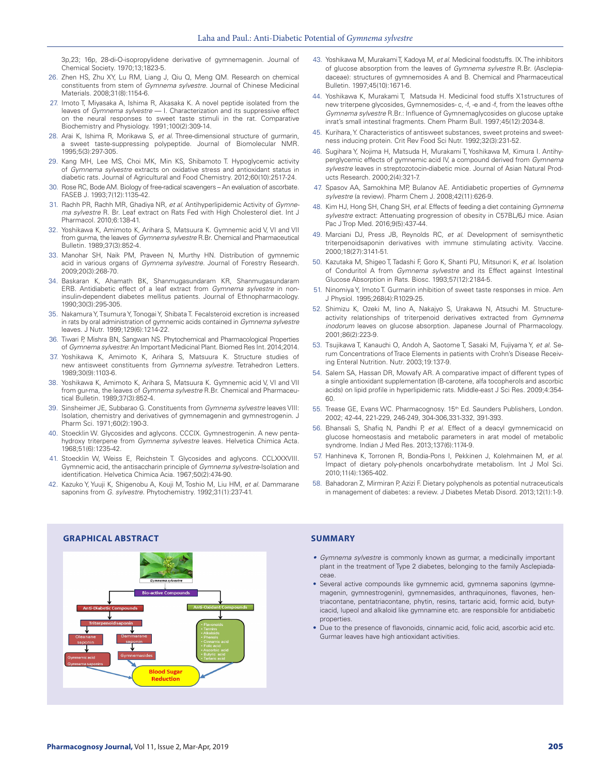3p,23; 16p, 28-di-O-isopropylidene derivative of gymnemagenin. Journal of Chemical Society. 1970;13;1823-5.

- 26. Zhen HS, Zhu XY, Lu RM, Liang J, Qiu Q, Meng QM. Research on chemical constituents from stem of *Gymnema sylvestre*. Journal of Chinese Medicinal Materials. 2008;31(8):1154-6.
- 27. Imoto T, Miyasaka A, Ishima R, Akasaka K. A novel peptide isolated from the leaves of *Gymnema sylvestre* — I. Characterization and its suppressive effect on the neural responses to sweet taste stimuli in the rat. Comparative Biochemistry and Physiology. 1991;100(2):309-14.
- 28. Arai K, Ishima R, Morikawa S, *et al*. Three-dimensional structure of gurmarin, sweet taste-suppressing polypeptide. Journal of Biomolecular NMR. 1995;5(3):297-305.
- 29. Kang MH, Lee MS, Choi MK, Min KS, Shibamoto T. Hypoglycemic activity of *Gymnema sylvestre* extracts on oxidative stress and antioxidant status in diabetic rats. Journal of Agricultural and Food Chemistry. 2012;60(10):2517-24.
- 30. Rose RC, Bode AM. Biology of free-radical scavengers An evaluation of ascorbate. FASEB J. 1993;7(12):1135-42.
- 31. Rachh PR, Rachh MR, Ghadiya NR, *et al*. Antihyperlipidemic Activity of *Gymnema sylvestre* R. Br. Leaf extract on Rats Fed with High Cholesterol diet. Int J Pharmacol. 2010;6:138-41.
- 32. Yoshikawa K, Amimoto K, Arihara S, Matsuura K. Gymnemic acid V, VI and VII from gur-ma, the leaves of *Gymnema sylvestre* R.Br. Chemical and Pharmaceutical Bulletin. 1989;37(3):852-4.
- 33. Manohar SH, Naik PM, Praveen N, Murthy HN. Distribution of gymnemic acid in various organs of *Gymnema sylvestre*. Journal of Forestry Research. 2009;20(3):268-70.
- 34. Baskaran K, Ahamath BK, Shanmugasundaram KR, Shanmugasundaram ERB. Antidiabetic effect of a leaf extract from *Gymnema sylvestre* in noninsulin-dependent diabetes mellitus patients. Journal of Ethnopharmacology. 1990;30(3):295-305.
- 35. Nakamura Y, Tsumura Y, Tonogai Y, Shibata T. Fecalsteroid excretion is increased in rats by oral administration of gymnemic acids contained in *Gymnema sylvestre* leaves. J Nutr. 1999;129(6):1214-22.
- 36. Tiwari P, Mishra BN, Sangwan NS. Phytochemical and Pharmacological Properties of *Gymnema sylvestre*: An Important Medicinal Plant. Biomed Res Int. 2014;2014.
- 37. Yoshikawa K, Amimoto K, Arihara S, Matsuura K. Structure studies of new antisweet constituents from *Gymnema sylvestre*. Tetrahedron Letters. 1989;30(9):1103-6.
- 38. Yoshikawa K, Amimoto K, Arihara S, Matsuura K. Gymnemic acid V, VI and VII from gur-ma, the leaves of *Gymnema sylvestre* R.Br. Chemical and Pharmaceutical Bulletin. 1989;37(3):852-4.
- 39. Sinsheimer JE, Subbarao G. Constituents from *Gymnema sylvestre* leaves VIII: Isolation, chemistry and derivatives of gymnemagenin and gymnestrogenin. J Pharm Sci. 1971;60(2):190-3.
- 40. Stoecklin W. Glycosides and aglycons. CCCIX. Gymnestrogenin. A new pentahydroxy triterpene from *Gymnema sylvestre* leaves. Helvetica Chimica Acta. 1968;51(6):1235-42.
- 41. Stoecklin W, Weiss E, Reichstein T. Glycosides and aglycons. CCLXXXVIII. Gymnemic acid, the antisaccharin principle of *Gymnema sylvestre*-Isolation and identification. Helvetica Chimica Acia. 1967;50(2):474-90.
- 42. Kazuko Y, Yuuji K, Shigenobu A, Kouji M, Toshio M, Liu HM, *et al*. Dammarane saponins from *G. sylvestre*. Phytochemistry. 1992;31(1):237-41.
- 43. Yoshikawa M, Murakami T, Kadoya M, *et al*. Medicinal foodstuffs. IX. The inhibitors of glucose absorption from the leaves of *Gymnema sylvestre* R.Br. (Asclepiadaceae): structures of gymnemosides A and B. Chemical and Pharmaceutical Bulletin. 1997;45(10):1671-6.
- 44. Yoshikawa K, Murakami T, Matsuda H. Medicinal food stuffs X1structures of new triterpene glycosides, Gymnemosides- c, -f, -e and -f, from the leaves ofthe *Gymnema sylvestre* R.Br.: Influence of Gymnemaglycosides on glucose uptake inrat's small intestinal fragments. Chem Pharm Bull. 1997;45(12):2034-8.
- 45. Kurihara, Y. Characteristics of antisweet substances, sweet proteins and sweetness inducing protein. Crit Rev Food Sci Nutr. 1992;32(3):231-52.
- 46. Sugihara Y, Nojima H, Matsuda H, Murakami T, Yoshikawa M, Kimura I. Antihyperglycemic effects of gymnemic acid IV, a compound derived from *Gymnema sylvestre* leaves in streptozotocin-diabetic mice. Journal of Asian Natural Products Research. 2000;2(4):321-7.
- 47. Spasov AA, Samokhina MP, Bulanov AE. Antidiabetic properties of *Gymnema sylvestre* (a review). Pharm Chem J. 2008;42(11):626-9.
- 48. Kim HJ, Hong SH, Chang SH, *et al*. Effects of feeding a diet containing *Gymnema sylvestre* extract: Attenuating progression of obesity in C57BL/6J mice. Asian Pac J Trop Med. 2016;9(5):437-44.
- 49. Marciani DJ, Press JB, Reynolds RC, *et al*. Development of semisynthetic triterpenoidsaponin derivatives with immune stimulating activity. Vaccine. 2000;18(27):3141-51.
- 50. Kazutaka M, Shigeo T, Tadashi F, Goro K, Shanti PU, Mitsunori K, *et al*. Isolation of Conduritol A from *Gymnema sylvestre* and its Effect against Intestinal Glucose Absorption in Rats. Biosc. 1993;57(12):2184-5.
- 51. Ninomiya Y, Imoto T. Gurmarin inhibition of sweet taste responses in mice. Am J Physiol. 1995;268(4):R1029-25.
- 52. Shimizu K, Ozeki M, Iino A, Nakajyo S, Urakawa N, Atsuchi M. Structureactivity relationships of triterpenoid derivatives extracted from *Gymnema inodorum* leaves on glucose absorption. Japanese Journal of Pharmacology. 2001;86(2):223-9.
- 53. Tsujikawa T, Kanauchi O, Andoh A, Saotome T, Sasaki M, Fujiyama Y, *et al*. Serum Concentrations of Trace Elements in patients with Crohn's Disease Receiving Enteral Nutrition. Nutr. 2003;19:137-9.
- 54. Salem SA, Hassan DR, Mowafy AR. A comparative impact of different types of a single antioxidant supplementation (B-carotene, alfa tocopherols and ascorbic acids) on lipid profile in hyperlipidemic rats. Middle-east J Sci Res. 2009;4:354- 60.
- 55. Trease GE, Evans WC. Pharmacognosy. 15<sup>th</sup> Ed. Saunders Publishers, London. 2002; 42-44, 221-229, 246-249, 304-306,331-332, 391-393.
- 56. Bhansali S, Shafiq N, Pandhi P, *et al*. Effect of a deacyl gymnemicacid on glucose homeostasis and metabolic parameters in arat model of metabolic syndrome. Indian J Med Res. 2013;137(6):1174-9.
- 57. Hanhineva K, Torronen R, Bondia-Pons I, Pekkinen J, Kolehmainen M, *et al*. Impact of dietary poly-phenols oncarbohydrate metabolism. Int J Mol Sci. 2010;11(4):1365-402.
- 58. Bahadoran Z, Mirmiran P, Azizi F. Dietary polyphenols as potential nutraceuticals in management of diabetes: a review. J Diabetes Metab Disord. 2013;12(1):1-9.



- *• Gymnema sylvestre* is commonly known as gurmar, a medicinally important plant in the treatment of Type 2 diabetes, belonging to the family Asclepiadaceae.
- Several active compounds like gymnemic acid, gymnema saponins (gymnemagenin, gymnestrogenin), gymnemasides, anthraquinones, flavones, hentriacontane, pentatriacontane, phytin, resins, tartaric acid, formic acid, butyricacid, lupeol and alkaloid like gymnamine etc. are responsible for antidiabetic properties.
- Due to the presence of flavonoids, cinnamic acid, folic acid, ascorbic acid etc. Gurmar leaves have high antioxidant activities.